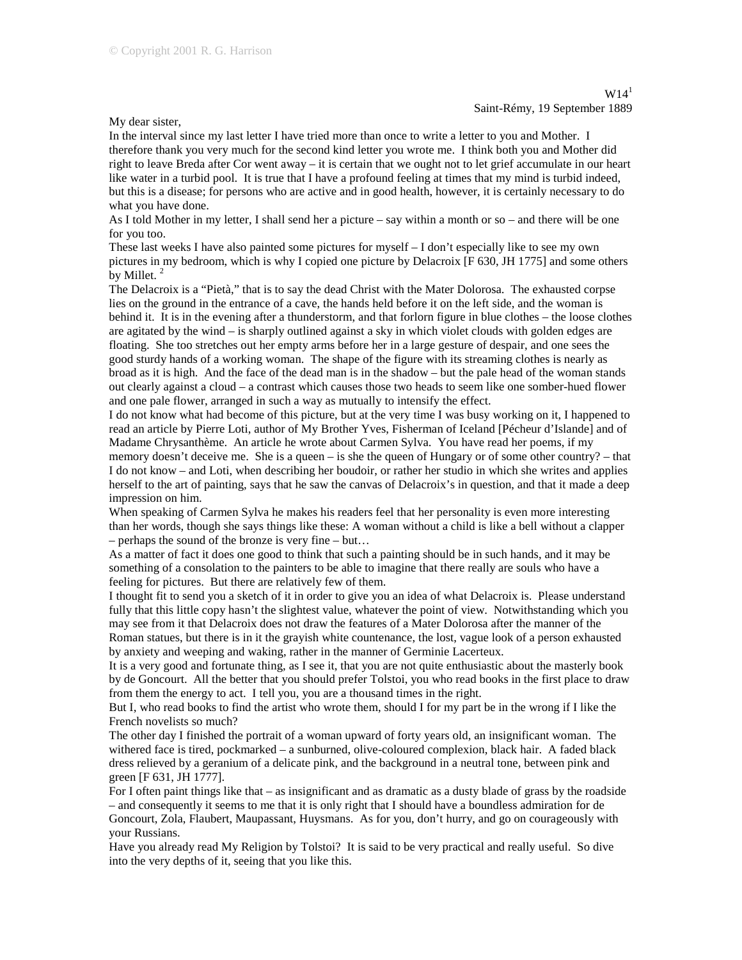## $W14<sup>1</sup>$ Saint-Rémy, 19 September 1889

My dear sister,

In the interval since my last letter I have tried more than once to write a letter to you and Mother. I therefore thank you very much for the second kind letter you wrote me. I think both you and Mother did right to leave Breda after Cor went away – it is certain that we ought not to let grief accumulate in our heart like water in a turbid pool. It is true that I have a profound feeling at times that my mind is turbid indeed, but this is a disease; for persons who are active and in good health, however, it is certainly necessary to do what you have done.

As I told Mother in my letter, I shall send her a picture – say within a month or so – and there will be one for you too.

These last weeks I have also painted some pictures for myself – I don't especially like to see my own pictures in my bedroom, which is why I copied one picture by Delacroix [F 630, JH 1775] and some others by Millet.<sup>2</sup>

The Delacroix is a "Pietà," that is to say the dead Christ with the Mater Dolorosa. The exhausted corpse lies on the ground in the entrance of a cave, the hands held before it on the left side, and the woman is behind it. It is in the evening after a thunderstorm, and that forlorn figure in blue clothes – the loose clothes are agitated by the wind – is sharply outlined against a sky in which violet clouds with golden edges are floating. She too stretches out her empty arms before her in a large gesture of despair, and one sees the good sturdy hands of a working woman. The shape of the figure with its streaming clothes is nearly as broad as it is high. And the face of the dead man is in the shadow – but the pale head of the woman stands out clearly against a cloud – a contrast which causes those two heads to seem like one somber-hued flower and one pale flower, arranged in such a way as mutually to intensify the effect.

I do not know what had become of this picture, but at the very time I was busy working on it, I happened to read an article by Pierre Loti, author of My Brother Yves, Fisherman of Iceland [Pécheur d'Islande] and of Madame Chrysanthème. An article he wrote about Carmen Sylva. You have read her poems, if my memory doesn't deceive me. She is a queen – is she the queen of Hungary or of some other country? – that I do not know – and Loti, when describing her boudoir, or rather her studio in which she writes and applies herself to the art of painting, says that he saw the canvas of Delacroix's in question, and that it made a deep impression on him.

When speaking of Carmen Sylva he makes his readers feel that her personality is even more interesting than her words, though she says things like these: A woman without a child is like a bell without a clapper – perhaps the sound of the bronze is very fine – but…

As a matter of fact it does one good to think that such a painting should be in such hands, and it may be something of a consolation to the painters to be able to imagine that there really are souls who have a feeling for pictures. But there are relatively few of them.

I thought fit to send you a sketch of it in order to give you an idea of what Delacroix is. Please understand fully that this little copy hasn't the slightest value, whatever the point of view. Notwithstanding which you may see from it that Delacroix does not draw the features of a Mater Dolorosa after the manner of the Roman statues, but there is in it the grayish white countenance, the lost, vague look of a person exhausted by anxiety and weeping and waking, rather in the manner of Germinie Lacerteux.

It is a very good and fortunate thing, as I see it, that you are not quite enthusiastic about the masterly book by de Goncourt. All the better that you should prefer Tolstoi, you who read books in the first place to draw from them the energy to act. I tell you, you are a thousand times in the right.

But I, who read books to find the artist who wrote them, should I for my part be in the wrong if I like the French novelists so much?

The other day I finished the portrait of a woman upward of forty years old, an insignificant woman. The withered face is tired, pockmarked – a sunburned, olive-coloured complexion, black hair. A faded black dress relieved by a geranium of a delicate pink, and the background in a neutral tone, between pink and green [F 631, JH 1777].

For I often paint things like that – as insignificant and as dramatic as a dusty blade of grass by the roadside – and consequently it seems to me that it is only right that I should have a boundless admiration for de Goncourt, Zola, Flaubert, Maupassant, Huysmans. As for you, don't hurry, and go on courageously with your Russians.

Have you already read My Religion by Tolstoi? It is said to be very practical and really useful. So dive into the very depths of it, seeing that you like this.